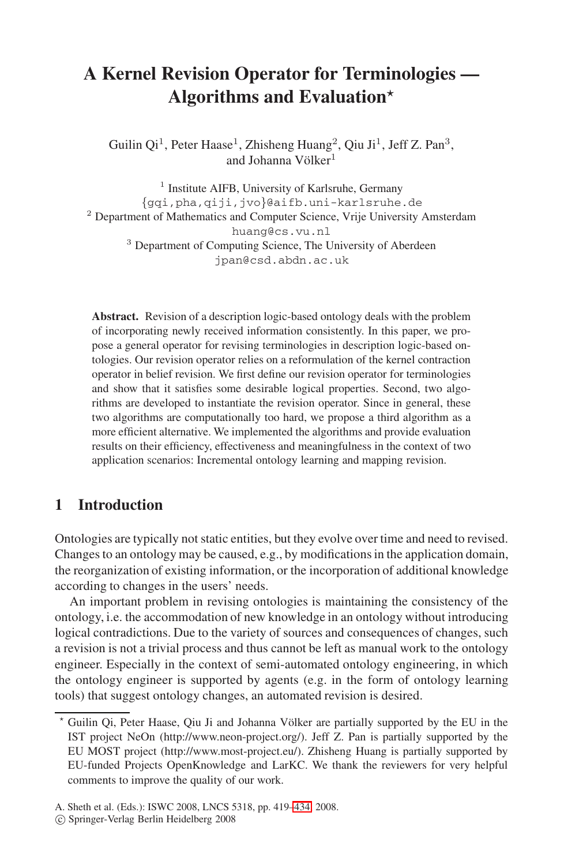# **A Kernel Revision Operator for Terminologies — Algorithms and Evaluation***-*

Guilin Qi<sup>1</sup>, Peter Haase<sup>1</sup>, Zhisheng Huang<sup>2</sup>, Qiu Ji<sup>1</sup>, Jeff Z. Pan<sup>3</sup>, and Johanna Völker<sup>1</sup>

<sup>1</sup> Institute AIFB, University of Karlsruhe, Germany {gqi,pha,qiji,jvo}@aifb.uni-karlsruhe.de <sup>2</sup> Department of Mathematics and Computer Science, Vrije University Amsterdam huang@cs.vu.nl <sup>3</sup> Department of Computing Science, The University of Aberdeen jpan@csd.abdn.ac.uk

**Abstract.** Revision of a description logic-based ontology deals with the problem of incorporating newly received information consistently. In this paper, we propose a general operator for revising terminologies in description logic-based ontologies. Our revision operator relies on a reformulation of the kernel contraction operator in belief revision. We first define our revision operator for terminologies and show that it satisfies some desirable logical properties. Second, two algorithms are developed to instantiate the revision operator. Since in general, these two algorithms are computationally too hard, we propose a third algorithm as a more efficient alternative. We implemented the algorithms and provide evaluation results on their efficiency, effectiveness and meaningfulness in the context of two application scenarios: Incremental ontology learning and mapping revision.

### **1 Introduction**

Ontologies are typically not static entities, but they evolve over time and need to revised. Changes to an ontology may be caused, e.g., by modifications in the application domain, the reorganization of existing information, or the incorporation of additional knowledge according to changes in the users' needs.

An important problem in revising ontologies is maintaining the consistency of the ontology, i.e. the accommodation of new knowledge in an ontology without introducing logical contradictions. Due to the variety of sources and consequences of changes, such a revision is not a trivial process and thus cannot be left as manual work to the ontology engineer. Especially in the context of semi-automated ontology engineering, in which the ontology engineer i[s sup](#page-15-0)ported by agents (e.g. in the form of ontology learning tools) that suggest ontology changes, an automated revision is desired.

<sup>\*</sup> Guilin Qi, Peter Haase, Qiu Ji and Johanna Völker are partially supported by the EU in the IST project NeOn (http://www.neon-project.org/). Jeff Z. Pan is partially supported by the EU MOST project (http://www.most-project.eu/). Zhisheng Huang is partially supported by EU-funded Projects OpenKnowledge and LarKC. We thank the reviewers for very helpful comments to improve the quality of our work.

A. Sheth et al. (Eds.): ISWC 2008, LNCS 5318, pp. 419–434, 2008.

<sup>-</sup>c Springer-Verlag Berlin Heidelberg 2008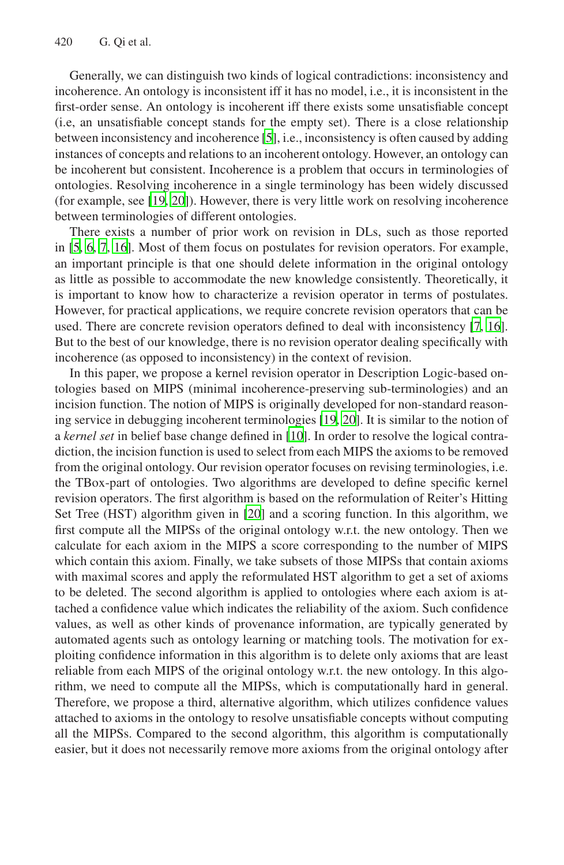[G](#page-15-1)enerally, we can distinguish two kinds of logical contradictions: inconsistency and incoherence. An ontology is inconsistent iff it has no model, i.e., it is inconsistent in the first-order sense. An ontology is incoherent iff there exists some unsatisfiable concept (i.e, an unsatisfiable concept stands for the empty set). There is a close relationship between inconsistency and incoherence [5], i.e., inconsistency is often caused by adding instances of concepts and relations to an incoherent ontology. However, an ontology can be incoherent but consistent. Incoherence is a problem that occurs in terminologies of ontologies. Resolving incoherence in a single terminology has been widely discussed (for example, see [19, 20]). However, there is very little wo[rk](#page-15-2) [on](#page-15-3) resolving incoherence between terminologies of different ontologies.

There exists a number of prior work on revision in DLs, such as those reported in [5, 6, 7, 16]. Most of them focus on postulates for revision operators. For example, an important principle is that one should delete information in the original ontology as little as possible to accommodate the new knowledge consistently. Theoretically, it is important to know how to [cha](#page-15-4)[rac](#page-15-1)terize a revision operator in terms of postulates. However, for practical [app](#page-15-5)lications, we require concrete revision operators that can be used. There are concrete revision operators defined to deal with inconsistency [7, 16]. But to the best of our knowledge, there is no revision operator dealing specifically with incoherence (as opposed to inconsistency) in the context of revision.

In this paper, we propose a kernel revision operator in Description Logic-based ontologies based [on](#page-15-1) MIPS (minimal incoherence-preserving sub-terminologies) and an incision function. The notion of MIPS is originally developed for non-standard reasoning service in debugging incoherent terminologies [19, 20]. It is similar to the notion of a *kernel set* in belief base change defined in [10]. In order to resolve the logical contradiction, the incision function is used to select from each MIPS the axioms to be removed from the original ontology. Our revision operator focuses on revising terminologies, i.e. the TBox-part of ontologies. Two algorithms are developed to define specific kernel revision operators. The first algorithm is based on the reformulation of Reiter's Hitting Set Tree (HST) algorithm given in [20] and a scoring function. In this algorithm, we first compute all the MIPSs of the original ontology w.r.t. the new ontology. Then we calculate for each axiom in the MIPS a score corresponding to the number of MIPS which contain this axiom. Finally, we take subsets of those MIPSs that contain axioms with maximal scores and apply the reformulated HST algorithm to get a set of axioms to be deleted. The second algorithm is applied to ontologies where each axiom is attached a confidence value which indicates the reliability of the axiom. Such confidence values, as well as other kinds of provenance information, are typically generated by automated agents such as ontology learning or matching tools. The motivation for exploiting confidence information in this algorithm is to delete only axioms that are least reliable from each MIPS of the original ontology w.r.t. the new ontology. In this algorithm, we need to compute all the MIPSs, which is computationally hard in general. Therefore, we propose a third, alternative algorithm, which utilizes confidence values attached to axioms in the ontology to resolve unsatisfiable concepts without computing all the MIPSs. Compared to the second algorithm, this algorithm is computationally easier, but it does not necessarily remove more axioms from the original ontology after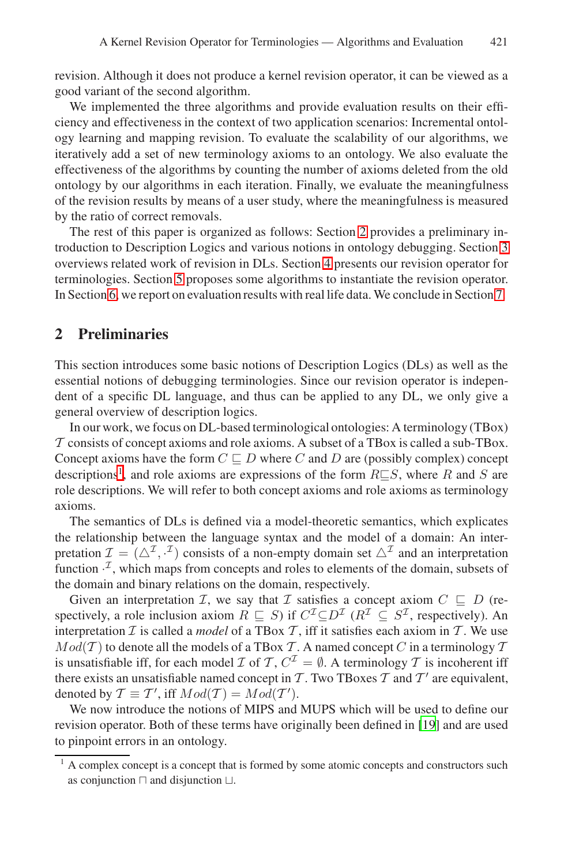revision. Although it does not produce a kernel revision operator, it can be viewed as a good variant of the second algorithm.

We implemented the three algorit[hm](#page-2-0)s and provide evaluation results on their efficiency and effectiveness in the context of two application scenar[ios](#page-3-0): Incremental ontology learning and mapping re[vis](#page-4-0)ion. To evaluate the scalability of our algorithms, we it[era](#page-6-0)tively add a set of new terminology axioms to an ontology. We also evaluate the effectiveness of the algorithms by counting the number of axio[ms](#page-14-0) deleted from the old ontology by our algorithms in each iteration. Finally, we evaluate the meaningfulness of the revision results by means of a user study, where the meaningfulness is measured by the ratio of correct removals.

<span id="page-2-0"></span>The rest of this paper is organized as follows: Section 2 provides a preliminary introduction to Description Logics and various notions in ontology debugging. Section 3 overviews related work of revision in DLs. Section 4 presents our revision operator for terminologies. Section 5 proposes some algorithms to instantiate the revision operator. In Section 6, we report on evaluation results with real life data. We conclude in Section 7.

### **2 Preliminaries**

This section introduces some basic notions of Description Logics (DLs) as well as the essential notions of debugging terminologies. Since our revision operator is independent of a specific DL language, and thus can be applied to any DL, we only give a general overview of description logics.

In our work, we focus on DL-based terminological ontologies: A terminology (TBox) T consists of concept axioms and role axioms. A subset of a TBox is called a sub-TBox. Concept axioms have the form  $C \sqsubseteq D$  where C and D are (possibly complex) concept descriptions<sup>1</sup>, and role axioms are expressions of the form  $R \subseteq S$ , where R and S are role descriptions. We will refer to both concept axioms and role axioms as terminology axioms.

The semantics of DLs is defined via a model-theoretic semantics, which explicates the relationship between the language syntax and the model of a domain: An interpretation  $\mathcal{I} = (\Delta^{\mathcal{I}}, \cdot^{\mathcal{I}})$  consists of a non-empty domain set  $\Delta^{\mathcal{I}}$  and an interpretation function  $\cdot^{\mathcal{I}}$ , which maps from concepts and roles to elements of the domain, subsets of the domain and binary relations on the domain, respectively.

Given an interpretation  $\mathcal{I}$ , we say that  $\mathcal{I}$  sat[isfi](#page-15-4)es a concept axiom  $C \subseteq D$  (respectively, a role inclusion axiom  $R \subseteq S$ ) if  $C^{\mathcal{I}} \subseteq D^{\mathcal{I}}$  ( $R^{\mathcal{I}} \subseteq S^{\mathcal{I}}$ , respectively). An interpretation  $I$  is called a *model* of a TBox  $I$ , iff it satisfies each axiom in  $I$ . We use  $Mod(T)$  to denote all the models of a TBox T. A named concept C in a terminology T is unsatisfiable iff, for each model *I* of *T*,  $C^{\mathcal{I}} = \emptyset$ . A terminology *T* is incoherent iff there exists an unsatisfiable named concept in T. Two TBoxes T and T' are equivalent, denoted by  $\mathcal{T} \equiv \mathcal{T}'$ , iff  $Mod(\mathcal{T}) = Mod(\mathcal{T}')$ .

We now introduce the notions of MIPS and MUPS which will be used to define our revision operator. Both of these terms have originally been defined in [19] and are used to pinpoint errors in an ontology.

<sup>1</sup> A complex concept is a concept that is formed by some atomic concepts and constructors such as conjunction  $\sqcap$  and disjunction  $\sqcup$ .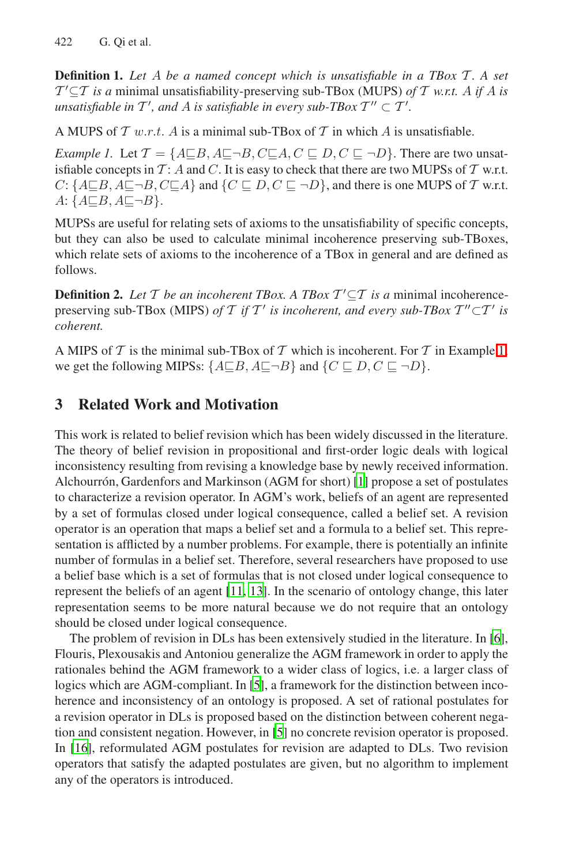<span id="page-3-1"></span>**Definition 1.** *Let* A *be a named concept which is unsatisfiable in a TBox* T *. A set*  $T' \subseteq T$  *is a* minimal unsatisfiability-preserving sub-TBox (MUPS) of T w.r.t. A if A is *unsatisfiable in*  $T'$ , and A is satisfiable in every sub-TBox  $T'' \subset T'$ .

A MUPS of  $\mathcal T w.r.t.$  A is a minimal sub-TBox of  $\mathcal T$  in which A is unsatisfiable.

<span id="page-3-2"></span>*Example 1.* Let  $\mathcal{T} = \{A \sqsubseteq B, A \sqsubseteq \neg B, C \sqsubseteq A, C \sqsubseteq D, C \sqsubseteq \neg D\}$ . There are two unsatisfiable concepts in  $T: A$  and C. It is easy to check that there are two MUPSs of T w.r.t.  $C: \{A \sqsubseteq B, A \sqsubseteq \neg B, C \sqsubseteq A\}$  and  $\{C \sqsubseteq D, C \sqsubseteq \neg D\}$ , and there is one MUPS of T w.r.t.  $A: \overline{A \sqsubseteq B, A \sqsubseteq \neg B}.$ 

MUPSs are useful for relating sets of axioms to the unsatisfiabil[ity](#page-3-1) of specific concepts, but they can also be used to calculate minimal incoherence preserving sub-TBoxes, which relate sets of axioms to the incoherence of a TBox in general and are defined as follows.

<span id="page-3-0"></span>**Definition 2.** Let T be an incoherent TBox. A TBox  $T' \subseteq T$  is a minimal incoherencepreserving sub-TBox (MIPS) *of*  $T$  *if*  $T'$  *is incoherent, and every sub-TBox*  $T'' \subset T'$  *is coherent.*

A MIPS of  $T$  is the minimal sub-TBox of  $T$  which is incoherent. For  $T$  in Example 1, we get the following MIPSs:  $\{A \sqsubseteq B, A \sqsubseteq \neg B\}$  and  $\{C \sqsubseteq D, C \sqsubseteq \neg D\}$ .

#### **3 Related Work and Motivation**

This work is related to belief revision which has been widely discussed in the literature. The theory of belief revision in propositional and first-order logic deals with logical inconsistenc[y re](#page-15-7)[sult](#page-15-8)ing from revising a knowledge base by newly received information. Alchourrón, Gardenfors and Markinson (AGM for short)  $[1]$  propose a set of postulates to characterize a revision operator. In AGM's work, beliefs of an agent are represented by a set of formulas closed under logical consequence, called [a](#page-15-9) belief set. A revision operator is an operation that maps a belief set and a formula to a belief set. This representation is afflicted by a number problems. For example, there is potentially an infinite number of formu[la](#page-15-10)s in a belief set. Therefore, several researchers have proposed to use a belief base which is a set of formulas that is not closed under logical consequence to represent the beliefs of an agent [11, 13]. In the scenario of ontology change, this later representation seems [to](#page-15-10) be more natural because we do not require that an ontology should be closed under logical consequence.

The problem of revision in DLs has been extensively studied in the literature. In [6], Flouris, Plexousakis and Antoniou generalize the AGM framework in order to apply the rationales behind the AGM framework to a wider class of logics, i.e. a larger class of logics which are AGM-compliant. In [5], a framework for the distinction between incoherence and inconsistency of an ontology is proposed. A set of rational postulates for a revision operator in DLs is proposed based on the distinction between coherent negation and consistent negation. However, in [5] no concrete revision operator is proposed. In [16], reformulated AGM postulates for revision are adapted to DLs. Two revision operators that satisfy the adapted postulates are given, but no algorithm to implement any of the operators is introduced.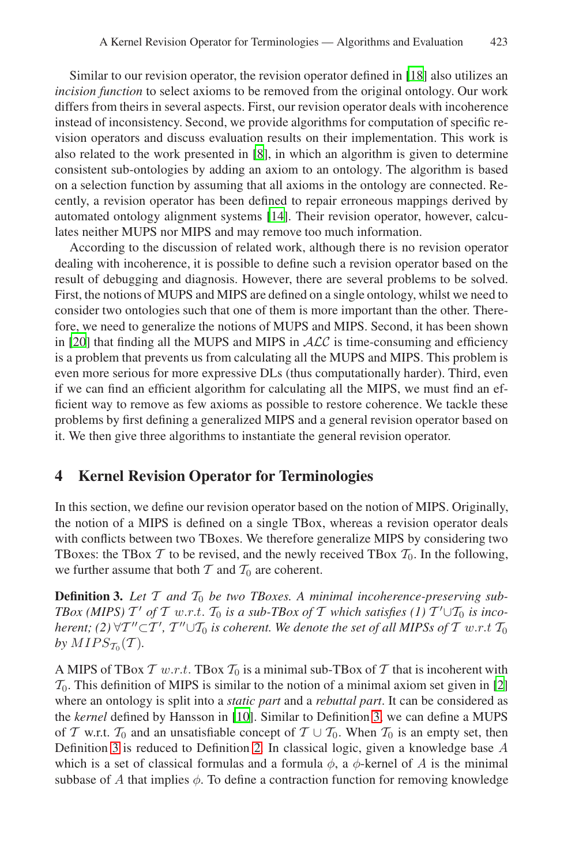Similar to our revision operator, the revision operator defined in [18] also utilizes an *incision function* to [sele](#page-15-12)ct axioms to be removed from the original ontology. Our work differs from theirs in several aspects. First, our revision operator deals with incoherence instead of inconsistency. Second, we provide algorithms for computation of specific revision operators and discuss evaluation results on their implementation. This work is also related to the work presented in [8], in which an algorithm is given to determine consistent sub-ontologies by adding an axiom to an ontology. The algorithm is based on a selection function by assuming that all axioms in the ontology are connected. Recently, a revision operator has been defined to repair erroneous mappings derived by automated ontology alignment systems [14]. Their revision operator, however, calculates neither MUPS nor MIPS and may remove too much information.

<span id="page-4-0"></span>According to the discussion of related work, although there is no revision operator dealing with incoherence, it is possible to define such a revision operator based on the result of debugging and diagnosis. However, there are several problems to be solved. First, the notions of MUPS and MIPS are defined on a single ontology, whilst we need to consider two ontologies such that one of them is more important than the other. Therefore, we need to generalize the notions of MUPS and MIPS. Second, it has been shown in [20] that finding all the MUPS and MIPS in  $\text{ALC}$  is time-consuming and efficiency is a problem that prevents us from calculating all the MUPS and MIPS. This problem is even more serious for more expressive DLs (thus computationally harder). Third, even if we can find an efficient algorithm for calculating all the MIPS, we must find an efficient way to remove as few axioms as possible to restore coherence. We tackle these problems by first defining a generalized MIPS and a general revision operator based on it. We then give three algorithms to instantiate the general revision operator.

### <span id="page-4-1"></span>**4 Kernel Revision Operator for Terminologies**

In this section, we define our revision operator based on the notion of MIPS. Originally, the notion of a MIPS is defined on a single TBox, whereas a revision operator deals with conflicts between two TBoxes. We therefore generalize MIPS by considering two TB[ox](#page-15-13)es: the TBox  $T$  to be revised, and the newly received TBox  $T_0$ . In the following, we further assume that both  $T$  and  $T_0$  are coherent.

**Definition 3.** [Le](#page-15-5)t  $T$  and  $T_0$  be two T[Box](#page-4-1)es. A minimal incoherence-preserving sub-*TBox (MIPS)*  $T'$  of  $T$  w.r.t.  $T_0$  *is a sub-TBox of*  $T$  *which satisfies (1)*  $T' \cup T_0$  *is incoherent;* (2)  $\forall T'' \subset T'$ ,  $T'' \cup T_0$  *is coherent. We denote the set of all MIPSs of*  $T$  w.r.t  $T_0$ *by*  $MIPS_{\mathcal{T}_0}(\mathcal{T})$ *.* 

A MIPS of TBox  $\mathcal{T} w.r.t.$  TBox  $\mathcal{T}_0$  is a minimal sub-TBox of  $\mathcal{T}$  that is incoherent with  $\mathcal{T}_0$ . This definition of MIPS is similar to the notion of a minimal axiom set given in [2] where an ontology is split into a *static part* and a *rebuttal part*. It can be considered as the *kernel* defined by Hansson in [10]. Similar to Definition 3, we can define a MUPS of T w.r.t.  $T_0$  and an unsatisfiable concept of  $T \cup T_0$ . When  $T_0$  is an empty set, then Definition 3 is reduced to Definition 2. In classical logic, given a knowledge base A which is a set of classical formulas and a formula  $\phi$ , a  $\phi$ -kernel of A is the minimal subbase of A that implies  $\phi$ . To define a contraction function for removing knowledge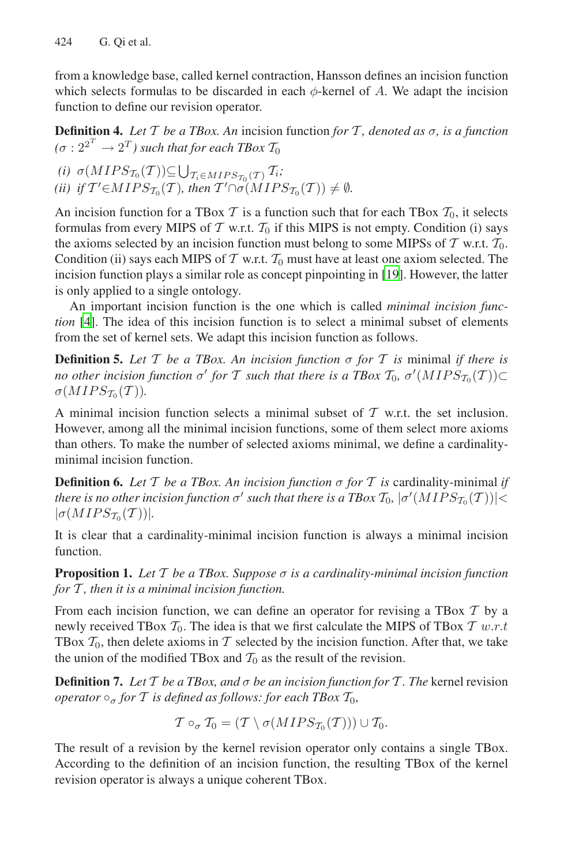from a knowledge base, called kernel contraction, Hansson defines an incision function which selects formulas to be discarded in each  $\phi$ -kernel of A. We adapt the incision function to define our revision operator.

**Definition 4.** *Let*  $T$  *be a TBox. An* incision function *for*  $T$ *, denoted as*  $\sigma$ *, is a function*  $(\sigma:2^{2^T}\to 2^T)$  such that for each TBox  $\mathcal{T}_0$  $\mathcal{T}_0$ 

- $(i)$   $\sigma(MIPS_{\mathcal{T}_0}(\mathcal{T})) \subseteq \bigcup_{\mathcal{T}_i \in MIPS_{\mathcal{T}_0}(\mathcal{T})} \mathcal{T}_i;$
- (*ii*) *if*  $T' \in MIPS_{T_0}(T)$ *, then*  $T' \cap \sigma(MIPS_{T_0}(T)) \neq \emptyset$ *.*

An incision function for a TBox T is a function such that for each TBox  $T_0$ , it selects formulas from every MIPS of  $T$  w.r.t.  $T_0$  if this MIPS is not empty. Condition (i) says the axioms selected by an incision function must belong to some MIPSs of  $T$  w.r.t.  $T_0$ . Condition (ii) says each MIPS of  $\mathcal T$  w.r.t.  $\mathcal T_0$  must have at least one axiom selected. The incision function plays a similar role as concept pinpointing in [19]. However, the latter is only applied to a single ontology.

An important incision function is the one which is called *minimal incision function* [4]. The idea of this incision function is to select a minimal subset of elements from the set of kernel sets. We adapt this incision function as follows.

**Definition 5.** Let T be a TBox. An incision function  $\sigma$  for T is minimal if there is *no other incision function*  $\sigma'$  *for*  $T$  *such that there is a TBox*  $T_0$ *,*  $\sigma'(MIPS_{T_0}(T)) \subset$  $\sigma(MIPS_{\mathcal{T}_0}(\mathcal{T})).$ 

A minimal incision function selects a minimal subset of  $\mathcal T$  w.r.t. the set inclusion. However, among all the minimal incision functions, some of them select more axioms than others. To make the number of selected axioms minimal, we define a cardinalityminimal incision function.

**Definition 6.** *Let*  $T$  *be a TBox. An incision function*  $\sigma$  *for*  $T$  *is* cardinality-minimal *if there is no other incision function*  $\sigma'$  *such that there is a TBox T* $_0$ *,*  $|\sigma'(MIPS_{T_0}(T))|$  $|\sigma(MIPS_{\mathcal{T}_0}(\mathcal{T}))|$ .

It is clear that a cardinality-minimal incision function is always a minimal incision function.

**Proposition 1.** *Let* T *be a TBox. Suppose* σ *is a cardinality-minimal incision function for*  $T$ *, then it is a minimal incision function.* 

From each incision function, we can define an operator for revising a TBox  $T$  by a newly received TBox  $T_0$ . The idea is that we first calculate the MIPS of TBox  $T$  w.r.t TBox  $\mathcal{T}_0$ , then delete axioms in  $\mathcal T$  selected by the incision function. After that, we take the union of the modified TBox and  $T_0$  as the result of the revision.

**Definition 7.** *Let*  $\mathcal T$  *be a TBox, and*  $\sigma$  *be an incision function for*  $\mathcal T$ *. The* kernel revision *operator*  $\circ_{\sigma}$  *for*  $T$  *is defined as follows: for each TBox*  $T_0$ *,* 

$$
\mathcal{T} \circ_{\sigma} \mathcal{T}_0 = (\mathcal{T} \setminus \sigma(MIPS_{\mathcal{T}_0}(\mathcal{T}))) \cup \mathcal{T}_0.
$$

The result of a revision by the kernel revision operator only contains a single TBox. According to the definition of an incision function, the resulting TBox of the kernel revision operator is always a unique coherent TBox.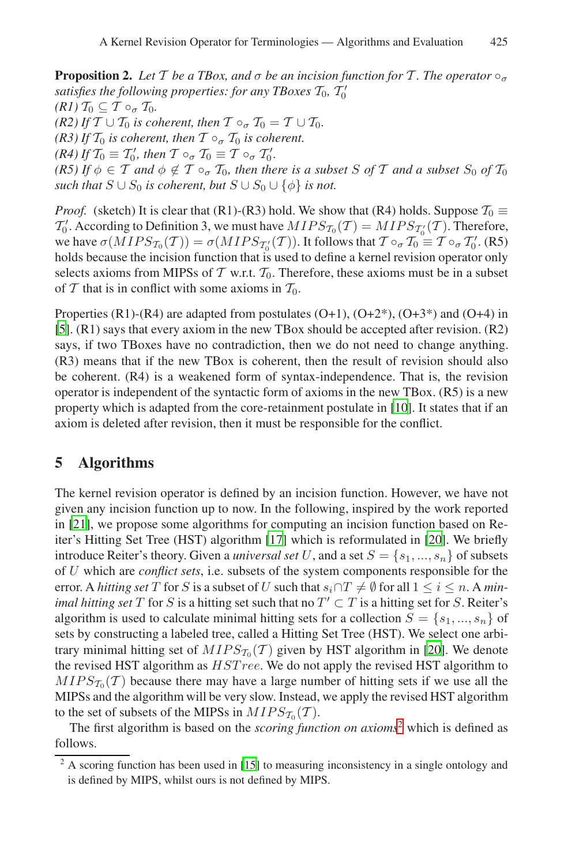**Proposition 2.** *Let*  $\mathcal T$  *be a TBox, and*  $\sigma$  *be an incision function for*  $\mathcal T$ *. The operator*  $\circ_{\sigma}$ satisfies the following properties: for any TBoxes  $\mathcal{T}_0$ ,  $\mathcal{T}'_0$ *(R1)*  $T_0 \subseteq T \circ_{\sigma} T_0$ *.* 

*(R2) If*  $T \cup T_0$  *is coherent, then*  $T \circ_{\sigma} T_0 = T \cup T_0$ *.* 

*(R3) If*  $\mathcal{T}_0$  *is coherent, then*  $\mathcal{T} \circ_{\sigma} \mathcal{T}_0$  *is coherent.* 

*(R4)* If  $\mathcal{T}_0 \equiv \mathcal{T}'_0$ , then  $\mathcal{T} \circ_{\sigma} \mathcal{T}_0 \equiv \mathcal{T} \circ_{\sigma} \mathcal{T}'_0$ .

*(R5)* If  $\phi \in \mathcal{T}$  and  $\phi \notin \mathcal{T} \circ_{\sigma} \mathcal{T}_0$ , then there is a subset S of T and a subset  $S_0$  of  $\mathcal{T}_0$ *such that*  $S \cup S_0$  *is coherent, but*  $S \cup S_0 \cup \{\phi\}$  *is not.* 

*Proof.* (sketch) It is clear that (R1)-(R3) hold. We show that (R4) holds. Suppose  $\mathcal{T}_0 \equiv$  $\mathcal{T}'_0$ . According to Definition 3, we must have  $MIPS_{\mathcal{T}_0}(\mathcal{T}) = MIPS_{\mathcal{T}'_0}(\mathcal{T})$ . Therefore, we have  $\sigma(MIPS_{\mathcal{T}_0}(\mathcal{T})) = \sigma(MIPS_{\mathcal{T}_0'}(\mathcal{T}))$ . It follows that  $\mathcal{T} \circ_{\sigma} \mathcal{T}_0 = \mathcal{T} \circ_{\sigma} \mathcal{T}_0'$ . (R5) holds because the incision function that is used to define a kernel revision operator only selects axioms from MIPSs of  $T$  w.r.t.  $T_0$ . Therefore, these axioms must be in a subset of  $T$  that is in conflict with some axioms in  $T_0$ .

<span id="page-6-0"></span>Properties (R1)-(R4) are adapted from postulates  $(O+1)$ ,  $(O+2^*)$ ,  $(O+3^*)$  and  $(O+4)$  in [5]. (R1) says that every axiom in the new TBox should be accepted after revision. (R2) says, if two TBoxes have no contradiction, then we do not need to change anything. (R3) means that if the new TBox is coherent, then the result of revision should also be coherent. (R4) is a weakened form of syntax-independence. That is, the revision operator is independent of the syntactic form of axioms in the new TBox. (R5) is a new property which is adapted from the core-retainment postulate in [10]. It states that if an axiom is deleted aft[er](#page-15-14) [r](#page-15-14)evision, then it must be res[pon](#page-15-1)sible for the conflict.

### **5 Algorithms**

The kernel revision operator is defined by an incision function. However, we have not given any incision function up to now. In the following, inspired by the work reported in [21], we propose some algorithms for computi[ng a](#page-15-1)n incision function based on Reiter's Hitting Set Tree (HST) algorithm [17] which is reformulated in [20]. We briefly introduce Reiter's theory. Given a *universal set* U, and a set  $S = \{s_1, ..., s_n\}$  of subsets of U which are *conflict sets*, i.e. subsets of the system components responsible for the error. A *hitting set* T for S is a subset of U such that  $s_i \cap T \neq \emptyset$  for all  $1 \leq i \leq n$ . A *minimal hitting set*  $T$  for  $S$  is a hitting set such th[at](#page-6-1) no  $T' \subset T$  is a hitting set for  $S$ . Reiter's algorithm is used to calculate minimal hitting sets for a collection  $S = \{s_1, ..., s_n\}$  of sets by constructing a labeled tree, called a Hitting Set Tree (HST). We select one arbitrary minimal [hitt](#page-15-15)ing set of  $MIPS_{\mathcal{T}_0}(\mathcal{T})$  given by HST algorithm in [20]. We denote the revised HST algorithm as  $HSTree$ . We do not apply the revised HST algorithm to  $MIPS_{T_0}(\mathcal{T})$  because there may have a large number of hitting sets if we use all the MIPSs and the algorithm will be very slow. Instead, we apply the revised HST algorithm to the set of subsets of the MIPSs in  $MIPS_{T_0} (T)$ .

<span id="page-6-1"></span>The first algorithm is based on the *scoring function on axioms*<sup>2</sup> which is defined as follows.

 $2$  A scoring function has been used in [15] to measuring inconsistency in a single ontology and is defined by MIPS, whilst ours is not defined by MIPS.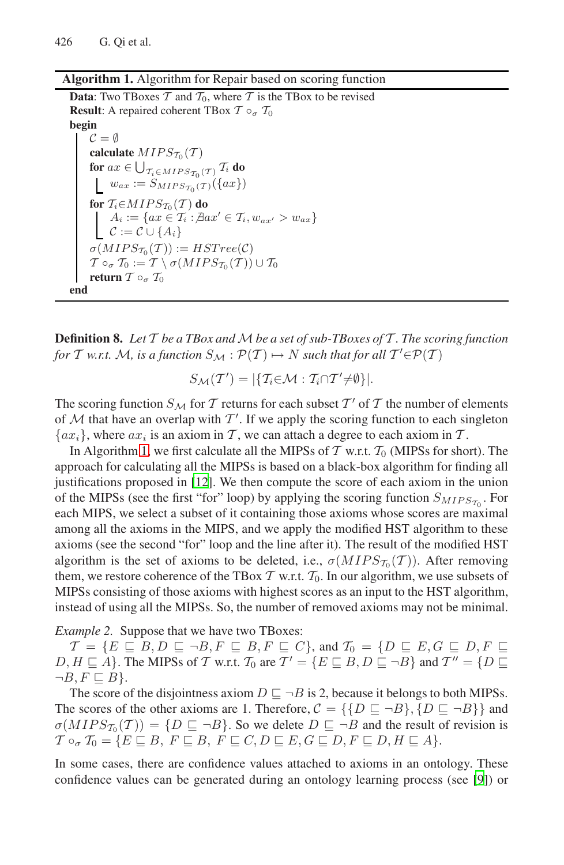**Algorithm 1.** Algorithm for Repair based on scoring function

**Data**: Two TBoxes  $T$  and  $T_0$ , where  $T$  is the TBox to be revised **Result**: A repaired coherent TBox  $T \circ_{\sigma} T_0$ **begin**  $C = \emptyset$ **calculate**  $MIPS_{T_0}(\mathcal{T})$ **for**  $ax \in \bigcup_{\mathcal{T}_i \in MIPS_{\mathcal{T}_0}(\mathcal{T})} \mathcal{T}_i$  **do**  $w_{ax} := S_{MIPS_{T_0}(T)}(\{ax\})$ **for**  $\mathcal{T}_i \in MIPS_{\mathcal{T}_0}(\mathcal{T})$  **do**  $A_i := \{ax \in \mathcal{T}_i : \exists ax' \in \mathcal{T}_i, w_{ax'} > w_{ax}\}\$  $\mathcal{C} := \mathcal{C} \cup \{A_i\}$  $\sigma(MIPS_{T_0}(T)) := HSTree(C)$  $\mathcal{T} \circ_{\sigma} \mathcal{T}_0 := \mathcal{T} \setminus \sigma(MIPS_{\mathcal{T}_0}(\mathcal{T})) \cup \mathcal{T}_0$ **return**  $T \circ_{\sigma} T_0$ **end**

<span id="page-7-1"></span>**Definition 8.** Let T be a TBox and M be a set of sub-TBoxes of T. The scoring function for  $T$  [w.r](#page-15-16).t. M, is a function  $S_M : \mathcal{P}(T) \mapsto N$  such that for all  $T' \in \mathcal{P}(T)$ 

$$
S_{\mathcal{M}}(\mathcal{T}') = |\{\mathcal{T}_i \in \mathcal{M} : \mathcal{T}_i \cap \mathcal{T}' \neq \emptyset\}|.
$$

The scoring function  $S_{\mathcal{M}}$  for T returns for each subset T' of T the number of elements of M that have an overlap with  $\mathcal{T}'$ . If we apply the scoring function to each singleton  $\{ax_i\}$ , where  $ax_i$  is an axiom in T, we can attach a degree to each axiom in T.

<span id="page-7-0"></span>In Algorithm 1, we first calculate all the MIPSs of  $\mathcal T$  w.r.t.  $\mathcal T_0$  (MIPSs for short). The approach for calculating all the MIPSs is based on a black-box algorithm for finding all justifications proposed in [12]. We then compute the score of each axiom in the union of the MIPSs (see the first "for" loop) by applying the scoring function  $S_{MIPS_{\tau_0}}$ . For each MIPS, we select a subset of it containing those axioms whose scores are maximal among all the axioms in the MIPS, and we apply the modified HST algorithm to these axioms (see the second "for" loop and the line after it). The result of the modified HST algorithm is the set of axioms to be deleted, i.e.,  $\sigma(MIPS_{T_0}(T))$ . After removing them, we restore coherence of the TBox  $T$  w.r.t.  $T_0$ . In our algorithm, we use subsets of MIPSs consisting of those axioms with highest scores as an input to the HST algorithm, instead of using all the MIPSs. So, the number of removed axioms may not be minimal.

*Example 2.* Suppose that we have two TBoxes:

 $\mathcal{T} = \{E \sqsubseteq B, D \sqsubseteq \neg B, F \sqsubseteq B, F \sqsubseteq C\}$ , and  $\mathcal{T}_0 = \{D \sqsubseteq E, G \sqsubseteq D, F \sqsubseteq$  $D, H \sqsubseteq A$  $D, H \sqsubseteq A$ }. The MIPSs of T w.r.t.  $\mathcal{T}_0$  are  $\mathcal{T}' = \{E \sqsubseteq B, D \sqsubseteq \neg B\}$  and  $\mathcal{T}'' = \{D \sqsubseteq$  $\neg B, F \sqsubseteq B$ .

The score of the disjointness axiom  $D \sqsubseteq \neg B$  is 2, because it belongs to both MIPSs. The scores of the other axioms are 1. Therefore,  $C = \{\{D \sqsubseteq \neg B\}, \{D \sqsubseteq \neg B\}\}\$ and  $\sigma(MIPS_{T_0}(T)) = \{D \sqsubseteq \neg B\}$ . So we delete  $D \sqsubseteq \neg B$  and the result of revision is  $\mathcal{T} \circ_{\sigma} \mathcal{T}_{0} = \{ E \sqsubseteq B, F \sqsubseteq B, F \sqsubseteq C, D \sqsubseteq E, G \sqsubseteq D, F \sqsubseteq D, H \sqsubseteq A \}.$ 

In some cases, there are confidence values attached to axioms in an ontology. These confidence values can be generated during an ontology learning process (see [9]) or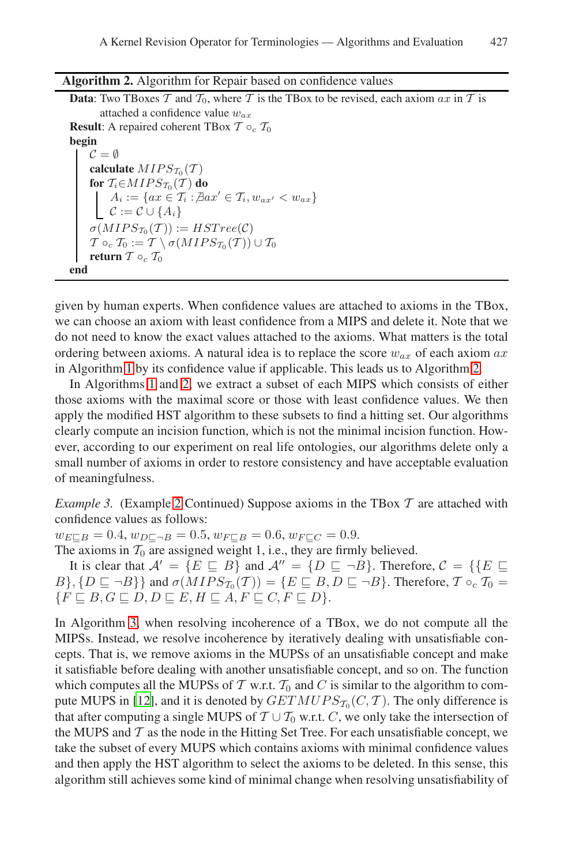#### **Algorithm 2.** Algorithm for Repair based on confidence values

**Data**: Two TBoxes T and  $T_0$ , where T is the TBox to be revised, each axiom  $ax$  in T is attached a confidence value  $w_{ax}$ **Result:** A repaired coherent TBox  $T \circ_c T_0$ **begin**  $\mathcal{C} = \emptyset$ **calculate**  $MIPS_{T_0}(\mathcal{T})$ **for**  $\mathcal{T}_i \in MIPS_{\mathcal{T}_0}(\mathcal{T})$  **do**  $A_i := \{ ax \in \mathcal{T}_i : \text{A}ax' \in \mathcal{T}_i, w_{ax'} < w_{ax} \}$  $\mathcal{C} := \mathcal{C} \cup \{A_i\}$  $\sigma(MIPS_{T_0}(T)) := HSTree(C)$  $\mathcal{T} \circ_c \mathcal{T}_0 := \mathcal{T} \setminus \sigma(MIPS_{\mathcal{T}_0}(\mathcal{T})) \cup \mathcal{T}_0$ **return**  $T \circ_c T_0$ **[end](#page-8-0)**

given by human experts. When confidence values are attached to axioms in the TBox, we can choose an axiom with least confidence from a MIPS and delete it. Note that we do not need to know the exact values attached to the axioms. What matters is the total ordering between axioms. A natural idea is to replace the score  $w_{ax}$  of each axiom ax in Algorithm 1 by its confidence value if applicable. This leads us to Algorithm 2.

<span id="page-8-1"></span>[In](#page-7-0) Algorithms 1 and 2, we extract a subset of each MIPS which consists of either those axioms with the maximal score or those with least confidence values. We then apply the modified HST algorithm to these subsets to find a hitting set. Our algorithms clearly compute an incision function, which is not the minimal incision function. However, according to our experiment on real life ontologies, our algorithms delete only a small number of axioms in order to restore consistency and have acceptable evaluation of meaningfulness.

<span id="page-8-0"></span>*Example 3.* (Example 2 Continued) Suppose axioms in the TBox  $T$  are attached with confidence values as follows:

 $w_{E \sqsubset B} = 0.4, w_{D \sqsubset \neg B} = 0.5, w_{F \sqsubset B} = 0.6, w_{F \sqsubset C} = 0.9.$ 

The axioms in  $\mathcal{T}_0$  are assigned weight 1, i.e., they are firmly believed.

It is clear that  $\mathcal{A}' = \{E \sqsubseteq B\}$  and  $\mathcal{A}'' = \{D \sqsubseteq \neg B\}$ . Therefore,  $\mathcal{C} = \{\{E \sqsubseteq A\}$  $B$ ,  $\{D \sqsubseteq \neg B\}$  and  $\sigma(MIPS_{\mathcal{T}_0}(\mathcal{T})) = \{E \sqsubseteq B, D \sqsubseteq \neg B\}$ . Therefore,  $\mathcal{T} \circ_c \mathcal{T}_0 =$  $\{F \sqsubseteq B, G \sqsubseteq D, D \sqsubseteq E, H \sqsubseteq A, F \sqsubseteq C, F \sqsubseteq D\}.$ 

In Algorithm 3, when resolving incoherence of a TBox, we do not compute all the MIPSs. Instead, we resolve incoherence by iteratively dealing with unsatisfiable concepts. That is, we remove axioms in the MUPSs of an unsatisfiable concept and make it satisfiable before dealing with another unsatisfiable concept, and so on. The function which computes all the MUPSs of  $T$  w.r.t.  $T_0$  and  $C$  is similar to the algorithm to compute MUPS in [12], and it is denoted by  $GETMUPS_{T_0}(C, T)$ . The only difference is that after computing a single MUPS of  $T \cup T_0$  w.r.t. C, we only take the intersection of the MUPS and  $T$  as the node in the Hitting Set Tree. For each unsatisfiable concept, we take the subset of every MUPS which contains axioms with minimal confidence values and then apply the HST algorithm to select the axioms to be deleted. In this sense, this algorithm still achieves some kind of minimal change when resolving unsatisfiability of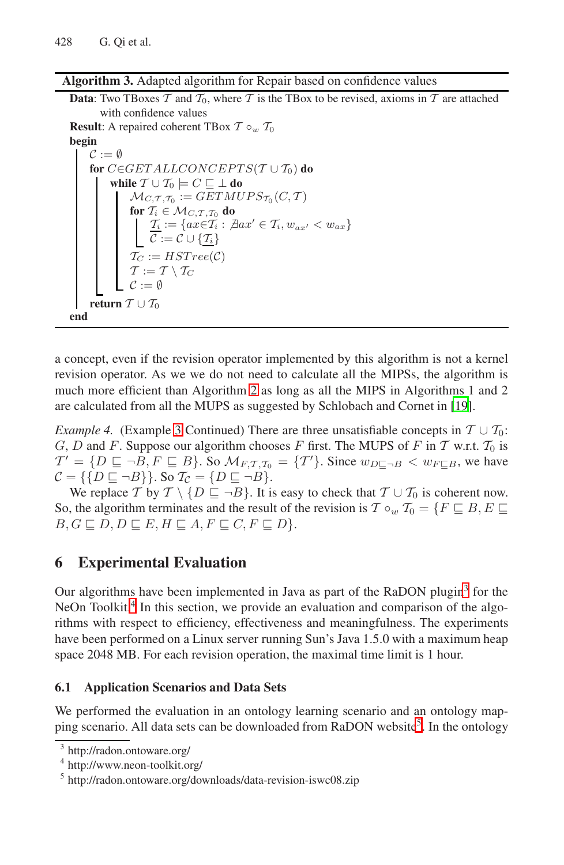#### **Algorithm 3.** Adapted algorithm for Repair based on confidence values

**Data**: Two TBoxes  $T$  and  $T_0$ , where  $T$  is the TBox to be revised, axioms in  $T$  are attached with confidence values **Result**: A repaired coherent TBox  $T \circ_w T_0$ **begin**  $\mathcal{C} := \emptyset$ **for**  $C \in GETALLCONCEPTS(\mathcal{T} \cup \mathcal{T}_0)$  **do** while  $\mathcal{T} \cup \mathcal{T}_0 \models C \sqsubseteq \bot$  do  $\mathcal{M}_{C,\mathcal{T},\mathcal{T}_0} := GETMUPS_{\mathcal{T}_0}(C,\mathcal{T})$ **for**  $\mathcal{T}_i \in \mathcal{M}_{C, \mathcal{T}, \mathcal{T}_0}$  **do**  $\underline{\mathcal{T}}_i := \{ax \in \mathcal{T}_i : \nexists ax' \in \mathcal{T}_i, w_{ax'} < w_{ax}\}\$  $\mathcal{C} := \mathcal{C} \cup \{\underline{\mathcal{T}_i}\}$  $T_C := HSTree(C)$  $\mathcal{T} := \mathcal{T} \setminus \mathcal{T}_C$  $\mathcal{T} := \mathcal{T} \setminus \mathcal{T}_C$  $\mathcal{T} := \mathcal{T} \setminus \mathcal{T}_C$  $\mathcal{C} := \emptyset$ **return**  $T \cup T_0$ **[e](#page-8-1)nd**

<span id="page-9-2"></span>a concept, even if the revision operator implemented by this algorithm is not a kernel revision operator. As we we do not need to calculate all the MIPSs, the algorithm is much more efficient than Algorithm 2 as long as all the MIPS in Algorithms 1 and 2 are calculated from all the MUPS as suggested by Schlobach and Cornet in [19].

*Example 4.* (Example 3 Continued) There are three unsatisfiable concepts in  $T \cup T_0$ : G, D and F. Suppose our algorithm chooses F first. The MUPS of F in T w.r.t.  $\mathcal{T}_0$  is  $T' = \{D \sqsubseteq \neg B, F \sqsubseteq B\}$  $T' = \{D \sqsubseteq \neg B, F \sqsubseteq B\}$  $T' = \{D \sqsubseteq \neg B, F \sqsubseteq B\}$ . So  $\mathcal{M}_{F, \mathcal{T}, \mathcal{T}_0} = \{T'\}$ . Since  $w_{D \sqsubseteq \neg B} < w_{F \sqsubseteq B}$ , we have  $C = \{ \{ D \sqsubseteq \neg B \} \}.$  So  $\mathcal{T}_C = \{ D \sqsubseteq \neg B \}.$ 

We replace  $\mathcal{T}$  by  $\mathcal{T} \setminus \{D \sqsubseteq \neg B\}$ . It is easy to check that  $\mathcal{T} \cup \mathcal{T}_0$  is coherent now. So, the algorithm terminates and the result of the revision is  $\mathcal{T} \circ_w \mathcal{T}_0 = \{F \sqsubseteq B, E \sqsubseteq \mathcal{F} \}$  $B, G \sqsubseteq D, D \sqsubseteq E, H \sqsubseteq A, F \sqsubseteq C, F \sqsubseteq D$ .

### **6 Experimental Evaluation**

Our algorithms have been implemented in Java as part of the RaDON plugin<sup>3</sup> for the NeOn Toolkit.<sup>4</sup> In this section, we provide an e[va](#page-9-1)luation and comparison of the algorithms with respect to efficiency, effectiveness and meaningfulness. The experiments have been performed on a Linux server running Sun's Java 1.5.0 with a maximum heap space 2048 MB. For each revision operation, the maximal time limit is 1 hour.

#### <span id="page-9-1"></span><span id="page-9-0"></span>**6.1 Application Scenarios and Data Sets**

We performed the evaluation in an ontology learning scenario and an ontology mapping scenario. All data sets can be downloaded from RaDON website5. In the ontology

<sup>3</sup> http://radon.ontoware.org/

<sup>4</sup> http://www.neon-toolkit.org/

<sup>5</sup> http://radon.ontoware.org/downloads/data-revision-iswc08.zip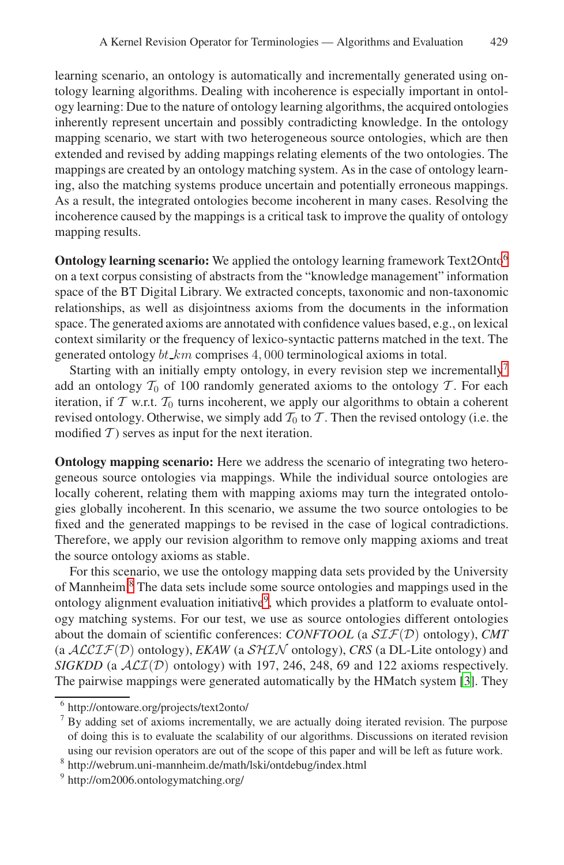learning scenario, an ontology is automatically and incrementally generated using ontology learning algorithms. Dealing with incoherence is especially important in ontology learning: Due to the nature of ontology learning algorithms, the acquired ontologies inherently represent uncertain and possibly contradicting knowledge. In the ontology mapping scenario, we start with two heterogeneous source onto[lo](#page-10-0)gies, which are then extended and revised by adding mappings relating elements of the two ontologies. The mappings are created by an ontology matching system. As in the case of ontology learning, also the matching systems produce uncertain and potentially erroneous mappings. As a result, the integrated ontologies become incoherent in many cases. Resolving the incoherence caused by the mappings is a critical task to improve the quality of ontology mapping results.

**Ontology learning scenario:** We applied the ontology learning f[ra](#page-10-1)mework Text2Onto<sup>6</sup> on a text corpus consisting of abstracts from the "knowledge management" information space of the BT Digital Library. We extracted concepts, taxonomic and non-taxonomic relationships, as well as disjointness axioms from the documents in the information space. The generated axioms are annotated with confidence values based, e.g., on lexical context similarity or the frequency of lexico-syntactic patterns matched in the text. The generated ontology bt km comprises 4, 000 terminological axioms in total.

Starting with an initially empty ontology, in every revision step we incrementally<sup>7</sup> add an ontology  $T_0$  of 100 randomly generated axioms to the ontology T. For each iteration, if  $T$  w.r.t.  $T_0$  turns incoherent, we apply our algorithms to obtain a coherent revised ontology. Otherwise, we simply add  $T_0$  to T. Then the revised ontology (i.e. the modified  $T$ ) serves as input for the next iteration.

**Ontology mapping scenario:** Here we address the scenario of integrating two heterogeneous source o[nto](#page-10-2)logies via mappings. While the individual source ontologies are locally coherent, relating them with mapping axioms may turn the integrated ontologies globally incoherent. In this scenario, we assume the two source ontologies to be fixed and the generated mappings to be revised in the case of logical contradictions. Therefore, we apply our revision algorithm to remove only mapping axioms and treat the source ontology axioms as stable.

<span id="page-10-1"></span><span id="page-10-0"></span>For this scenario, we use the ontology mapping data s[ets](#page-15-18) provided by the University of Mannheim.<sup>8</sup> The data sets include some source ontologies and mappings used in the ontology alignment evaluation initiative $9$ , which provides a platform to evaluate ontology matching systems. For our test, we use as source ontologies different ontologies about the domain of scientific conferences: *CONFTOOL* (a SIF(D) ontology), *CMT* (a  $ALCTF(D)$  ontology), *EKAW* (a  $SHTN$  ontology), *CRS* (a DL-Lite ontology) and *SIGKDD* (a  $ALI(\mathcal{D})$  ontology) with 197, 246, 248, 69 and 122 axioms respectively. The pairwise mappings were generated automatically by the HMatch system [3]. They

<span id="page-10-2"></span><sup>6</sup> http://ontoware.org/projects/text2onto/

<sup>&</sup>lt;sup>7</sup> By adding set of axioms incrementally, we are actually doing iterated revision. The purpose of doing this is to evaluate the scalability of our algorithms. Discussions on iterated revision using our revision operators are out of the scope of this paper and will be left as future work.

<sup>8</sup> http://webrum.uni-mannheim.de/math/lski/ontdebug/index.html

<sup>9</sup> http://om2006.ontologymatching.org/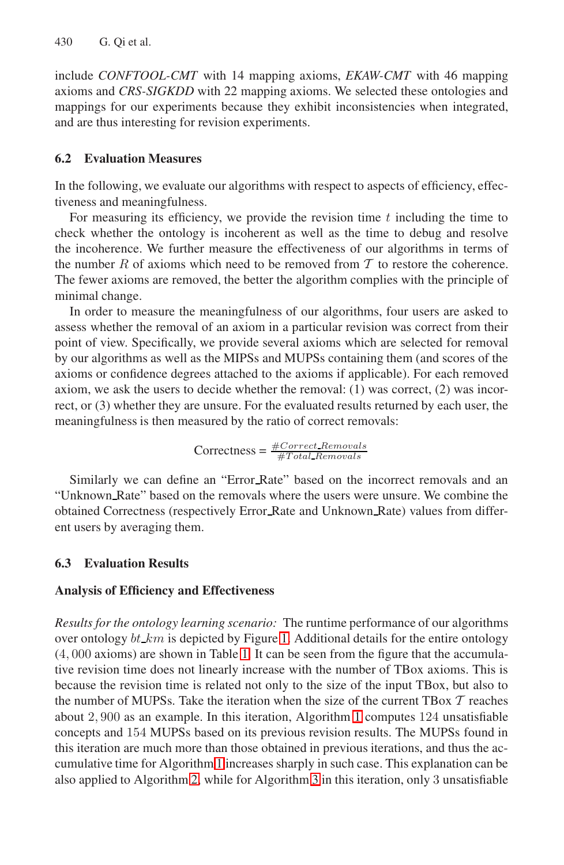include *CONFTOOL-CMT* with 14 mapping axioms, *EKAW-CMT* with 46 mapping axioms and *CRS-SIGKDD* with 22 mapping axioms. We selected these ontologies and mappings for our experiments because they exhibit inconsistencies when integrated, and are thus interesting for revision experiments.

#### **6.2 Evaluation Measures**

In the following, we evaluate our algorithms with respect to aspects of efficiency, effectiveness and meaningfulness.

For measuring its efficiency, we provide the revision time  $t$  including the time to check whether the ontology is incoherent as well as the time to debug and resolve the incoherence. We further measure the effectiveness of our algorithms in terms of the number R of axioms which need to be removed from T to restore the coherence. The fewer axioms are removed, the better the algorithm complies with the principle of minimal change.

In order to measure the meaningfulness of our algorithms, four users are asked to assess whether the removal of an axiom in a particular revision was correct from their point of view. Specifically, we provide several axioms which are selected for removal by our algorithms as well as the MIPSs and MUPSs containing them (and scores of the axioms or confidence degrees attached to the axioms if applicable). For each removed axiom, we ask the users to decide whether the removal: (1) was correct, (2) was incorrect, or (3) whether they are unsure. For the evaluated results returned by each user, the meaningfulness is then measured by the ratio of correct removals:

$$
Correctness = \frac{\#Correct\,Removals}{\#Total\,Removals}
$$

Similarly we can define an "Error Rate" based on the incorrect removals and an "Unknown Rate" based on the removals where the users were unsure. We combine the obtained Correctness [\(re](#page-12-0)spectively Error Rate and Unknown Rate) values from different users by a[ver](#page-12-1)aging them.

#### **6.3 Evaluation Results**

#### **Analysis of Efficiency and Effecti[ven](#page-7-1)ess**

*Results for the ontology learning scenario:* The runtime performance of our algorithms over onto[log](#page-7-1)y  $bt\ km$  is depicted by Figure 1. Additional details for the entire ontology (4, 0[00](#page-8-0) axioms) are shown i[n T](#page-9-2)able 1. It can be seen from the figure that the accumulative revision time does not linearly increase with the number of TBox axioms. This is because the revision time is related not only to the size of the input TBox, but also to the number of MUPSs. Take the iteration when the size of the current TBox  $T$  reaches about 2, 900 as an example. In this iteration, Algorithm 1 computes 124 unsatisfiable concepts and 154 MUPSs based on its previous revision results. The MUPSs found in this iteration are much more than those obtained in previous iterations, and thus the accumulative time for Algorithm 1 increases sharply in such case. This explanation can be also applied to Algorithm 2, while for Algorithm 3 in this iteration, only 3 unsatisfiable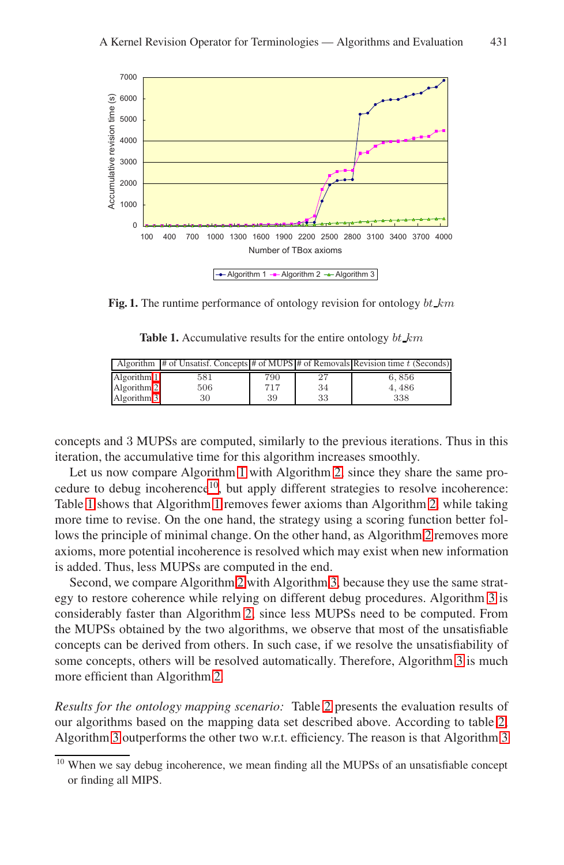<span id="page-12-0"></span>

#### A Kernel Revision Operator for Terminologies — Algorithms and Evaluation 431

<span id="page-12-1"></span>Fig. 1. The runtime performance of ontology revision for ontology bt<sub>km</sub>

Table 1. Accumulative results for the entire ontology bt km

|             |     |     |    | Algorithm # of Unsatisf. Concepts # of MUPS # of Removals Revision time t (Seconds) |
|-------------|-----|-----|----|-------------------------------------------------------------------------------------|
| Algorithm 1 | 581 | 790 | 27 | 6.856                                                                               |
| Algorithm 2 | 506 | 717 | 34 | 4.486                                                                               |
| Algorithm 3 | 30  | 39  | 33 | 338                                                                                 |

concepts and 3 MUPSs are computed, similarly to the previous iterations. Thus in this iteration, the [acc](#page-8-0)umulative time [fo](#page-9-2)r this algorithm increases smoothly.

Let us now compare Algorithm 1 with Algorithm 2, since [th](#page-9-2)ey share the same procedure to debu[g](#page-8-0) incoherence<sup>10</sup>, but apply different strategies to resolve incoherence: Table 1 shows that Algorithm 1 removes fewer axioms than Algorithm 2, while taking more time to revise. On the one hand, the strategy using a scoring function better follows the principle of minimal change. On the other han[d, a](#page-9-2)s Algorithm 2 removes more axioms, [mo](#page-8-0)re potential incoherence is resolved which may exist when new information is added. Thus, less MUPSs are computed in the end.

Second, we compare Algori[th](#page-13-0)m 2 with Algorithm 3, because they use the same strategy to restore coherence while relying on different debug pro[ced](#page-13-0)ures. Algorithm 3 is considerably faster than Algorithm 2, since less MUPSs need [to](#page-9-2) be computed. From the MUPSs obtained by the two algorithms, we observe that most of the unsatisfiable concepts can be derived from others. In such case, if we resolve the unsatisfiability of some concepts, others will be resolved automatically. Therefore, Algorithm 3 is much more efficient than Algorithm 2.

*Results for the ontology mapping scenario:* Table 2 presents the evaluation results of our algorithms based on the mapping data set described above. According to table 2, Algorithm 3 outperforms the other two w.r.t. efficiency. The reason is that Algorithm 3

When we say debug incoherence, we mean finding all the MUPSs of an unsatisfiable concept or finding all MIPS.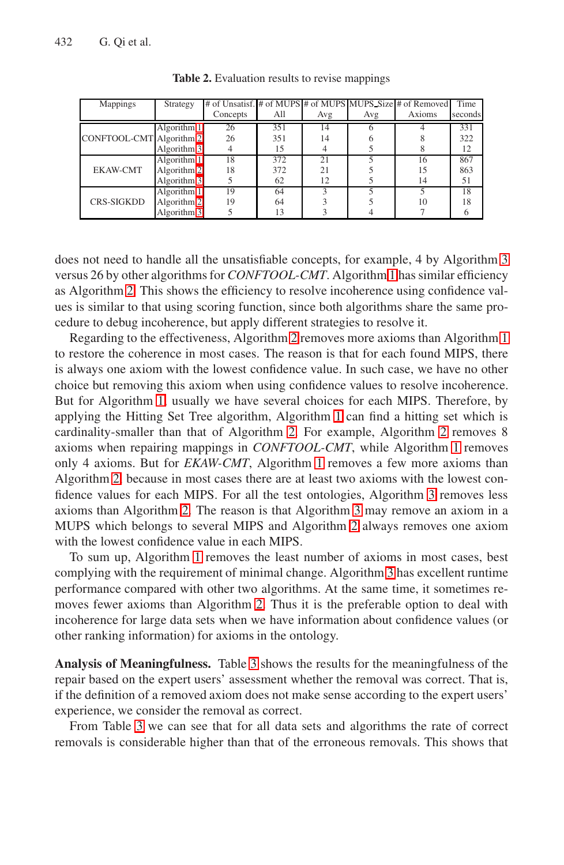<span id="page-13-0"></span>

| <b>Mappings</b>          | Strategy    |          |     |     |     | # of Unsatisf. # of MUPS # of MUPS MUPS Size # of Removed | Time    |
|--------------------------|-------------|----------|-----|-----|-----|-----------------------------------------------------------|---------|
|                          |             | Concepts | All | Avg | Avg | Axioms                                                    | seconds |
| CONFTOOL-CMT Algorithm 2 | Algorithm 1 | 26       | 351 | 14  |     |                                                           | 331     |
|                          |             | 26       | 351 | 14  |     |                                                           | 322     |
|                          | Algorithm 3 |          | 15  |     |     |                                                           | 12      |
| <b>EKAW-CMT</b>          | Algorithm 1 | 18       | 372 | 21  |     | 16                                                        | 867     |
|                          | Algorithm 2 | 18       | 372 | 21  |     |                                                           | 863     |
|                          | Algorithm 3 |          | 62  | 12  |     | 14                                                        | 51      |
|                          | Algorithm 1 | 19       | 64  |     |     |                                                           | 18      |
| <b>CRS-SIGKDD</b>        | Algorithm 2 | 19       | 64  |     |     | 10                                                        | 18      |
|                          | Algorithm 3 |          |     |     |     |                                                           |         |

Table 2. Evaluation results to revise mappings

does not need to handle all the unsatisfiable concepts, for example, 4 by Algorithm 3 [v](#page-7-1)ersus 26 by other algorithms for *CONFTOOL-CMT*. Algorithm 1 has similar efficiency as Algorithm 2. This shows the [effi](#page-7-1)ciency to resolve incoherence using confidence values is similar to that us[ing](#page-8-0) scoring function, since b[oth](#page-8-0) algorithms share the same procedure to debug incoherence, but apply different strate[gie](#page-7-1)s to resolve it.

Regarding to the effective[ne](#page-7-1)ss, Algorithm 2 removes more axioms than Algorithm 1 to restore the coherence in most cases. The reason is that for each found MIPS, there is always one axiom with the lowest confidence v[alu](#page-9-2)e. In such case, we have no other ch[oic](#page-8-0)e but removing this axiom wh[en](#page-9-2) using confidence values to resolve incoherence. But for Algorithm 1, usually we h[av](#page-8-0)e several choices for each MIPS. Therefore, by applying the Hitting Set Tree algorithm, Algorithm 1 can find a hitting set which is cardi[nal](#page-7-1)ity-smaller than that of Algorithm 2. For example, Algorithm 2 removes 8 axioms when repairing mappings in *CO[NF](#page-9-2)TOOL-CMT*, while Algorithm 1 removes only 4 axioms. But for *EKAW-CMT*, Algorithm 1 removes a few more axioms than Algorithm 2, bec[au](#page-8-0)se in most cases there are at least two axioms with the lowest confidence values for each MIPS. For all the test ontologies, Algorithm 3 removes less axioms than Algorithm 2. The reason is that Algorithm 3 may remove an axiom in a MUPS which belongs to several MIPS and Algorithm 2 always removes one axiom with the lowest [con](#page-14-1)fidence value in each MIPS.

To sum up, Algorithm 1 removes the least number of axioms in most cases, best complying with the requirement of minimal change. Algorithm 3 has excellent runtime performance compared with other two algorithms. At the same time, it sometimes removes fewer axioms than Algorithm 2. Thus it is the preferable option to deal with incoherence for large data sets when we have information about confidence values (or other ranking information) for axioms in the ontology.

**Analysis of Meaningfulness.** Table 3 shows the results for the meaningfulness of the repair based on the expert users' assessment whether the removal was correct. That is, if the definition of a removed axiom does not make sense according to the expert users' experience, we consider the removal as correct.

From Table 3 we can see that for all data sets and algorithms the rate of correct removals is considerable higher than that of the erroneous removals. This shows that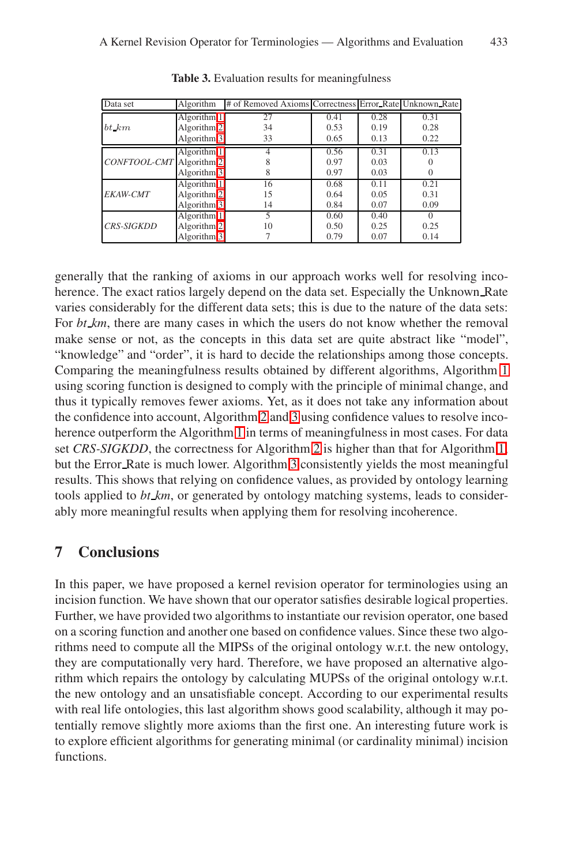<span id="page-14-1"></span>

| Data set                 | Algorithm   | # of Removed Axioms Correctness Error Rate Unknown Rate |      |      |      |
|--------------------------|-------------|---------------------------------------------------------|------|------|------|
|                          | Algorithm 1 | 27                                                      | 0.41 | 0.28 | 0.31 |
| $bt\_km$                 | Algorithm 2 | 34                                                      | 0.53 | 0.19 | 0.28 |
|                          | Algorithm 3 | 33                                                      | 0.65 | 0.13 | 0.22 |
|                          | Algorithm 1 |                                                         | 0.56 | 0.31 | 0.13 |
| CONFTOOL-CMT Algorithm 2 |             |                                                         | 0.97 | 0.03 |      |
|                          | Algorithm 3 |                                                         | 0.97 | 0.03 |      |
|                          | Algorithm 1 | 16                                                      | 0.68 | 0.11 | 0.21 |
| EKAW-CMT                 | Algorithm 2 | 15                                                      | 0.64 | 0.05 | 0.31 |
|                          | Algorithm 3 | 14                                                      | 0.84 | 0.07 | 0.09 |
|                          | Algorithm 1 |                                                         | 0.60 | 0.40 |      |
| <b>CRS-SIGKDD</b>        | Algorithm 2 | 10                                                      | 0.50 | 0.25 | 0.25 |
|                          | Algorithm 3 |                                                         | 0.79 | 0.07 | 0.14 |

**Table 3.** Evaluation results for meaningfulness

generally that the ranking of axioms in our approach works well for resolving incoherence. The exac[t r](#page-8-0)atio[s l](#page-9-2)argely depend on the data set. Especially the Unknown Rate varies consid[era](#page-7-1)bly for the different data sets; this is due to the nature of the data sets: For *bt*  $km$ , there are many c[as](#page-8-0)es in [w](#page-7-1)hich the users do not know whether the removal make sense or not, as [the](#page-9-2) concepts in this data set are quite abstract like "model", "knowledge" and "order", it is hard to decide the relationships among those concepts. Comparing the meaningfulness results obtained by different algorithms, Algorithm 1 using scoring function is designed to comply with the principle of minimal change, and thus it typically removes fewer axioms. Yet, as it does not take any information about the confidence into account, Algorithm 2 and 3 using confidence values to resolve incoherence outperform the Algorithm 1 in terms of meaningfulness in most cases. For data set *CRS-SIGKDD*, the correctness for Algorithm 2 is higher than that for Algorithm 1, but the Error Rate is much lower. Algorithm 3 consistently yields the most meaningful results. This shows that relying on confidence values, as provided by ontology learning tools applied to *bt km*, or generated by ontology matching systems, leads to considerably more meaningful results when applying them for resolving incoherence.

### <span id="page-14-0"></span>**7 Conclusions**

In this paper, we have proposed a kernel revision operator for terminologies using an incision function. We have shown that our operator satisfies desirable logical properties. Further, we have provided two algorithms to instantiate our revision operator, one based on a scoring function and another one based on confidence values. Since these two algorithms need to compute all the MIPSs of the original ontology w.r.t. the new ontology, they are computationally very hard. Therefore, we have proposed an alternative algorithm which repairs the ontology by calculating MUPSs of the original ontology w.r.t. the new ontology and an unsatisfiable concept. According to our experimental results with real life ontologies, this last algorithm shows good scalability, although it may potentially remove slightly more axioms than the first one. An interesting future work is to explore efficient algorithms for generating minimal (or cardinality minimal) incision functions.